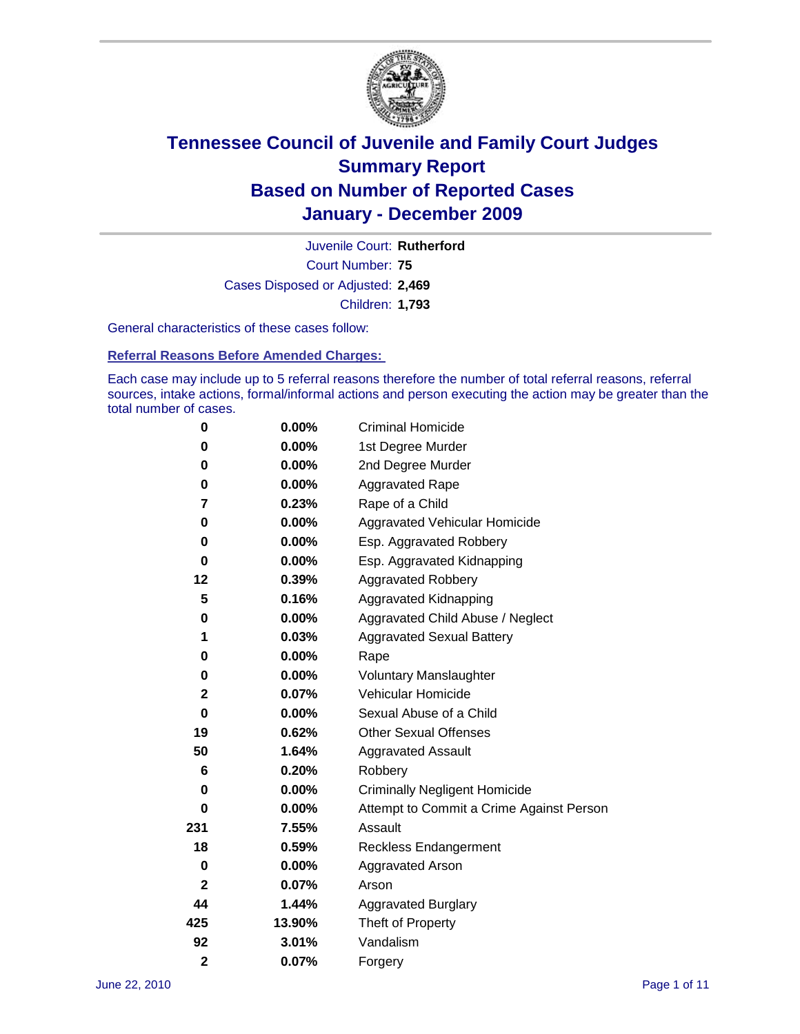

Court Number: **75** Juvenile Court: **Rutherford** Cases Disposed or Adjusted: **2,469** Children: **1,793**

General characteristics of these cases follow:

**Referral Reasons Before Amended Charges:** 

Each case may include up to 5 referral reasons therefore the number of total referral reasons, referral sources, intake actions, formal/informal actions and person executing the action may be greater than the total number of cases.

| 0              | $0.00\%$ | <b>Criminal Homicide</b>                 |  |  |  |
|----------------|----------|------------------------------------------|--|--|--|
| 0              | 0.00%    | 1st Degree Murder                        |  |  |  |
| 0              | $0.00\%$ | 2nd Degree Murder                        |  |  |  |
| 0              | $0.00\%$ | <b>Aggravated Rape</b>                   |  |  |  |
| 7              | 0.23%    | Rape of a Child                          |  |  |  |
| 0              | 0.00%    | Aggravated Vehicular Homicide            |  |  |  |
| 0              | 0.00%    | Esp. Aggravated Robbery                  |  |  |  |
| 0              | $0.00\%$ | Esp. Aggravated Kidnapping               |  |  |  |
| 12             | 0.39%    | <b>Aggravated Robbery</b>                |  |  |  |
| 5              | 0.16%    | Aggravated Kidnapping                    |  |  |  |
| 0              | $0.00\%$ | Aggravated Child Abuse / Neglect         |  |  |  |
| 1              | 0.03%    | <b>Aggravated Sexual Battery</b>         |  |  |  |
| 0              | 0.00%    | Rape                                     |  |  |  |
| 0              | $0.00\%$ | <b>Voluntary Manslaughter</b>            |  |  |  |
| $\mathbf 2$    | 0.07%    | Vehicular Homicide                       |  |  |  |
| 0              | 0.00%    | Sexual Abuse of a Child                  |  |  |  |
| 19             | 0.62%    | <b>Other Sexual Offenses</b>             |  |  |  |
| 50             | 1.64%    | <b>Aggravated Assault</b>                |  |  |  |
| 6              | 0.20%    | Robbery                                  |  |  |  |
| 0              | 0.00%    | <b>Criminally Negligent Homicide</b>     |  |  |  |
| 0              | $0.00\%$ | Attempt to Commit a Crime Against Person |  |  |  |
| 231            | 7.55%    | Assault                                  |  |  |  |
| 18             | 0.59%    | <b>Reckless Endangerment</b>             |  |  |  |
| 0              | 0.00%    | <b>Aggravated Arson</b>                  |  |  |  |
| $\mathbf{2}$   | 0.07%    | Arson                                    |  |  |  |
| 44             | 1.44%    | <b>Aggravated Burglary</b>               |  |  |  |
| 425            | 13.90%   | Theft of Property                        |  |  |  |
| 92             | 3.01%    | Vandalism                                |  |  |  |
| $\overline{2}$ | 0.07%    | Forgery                                  |  |  |  |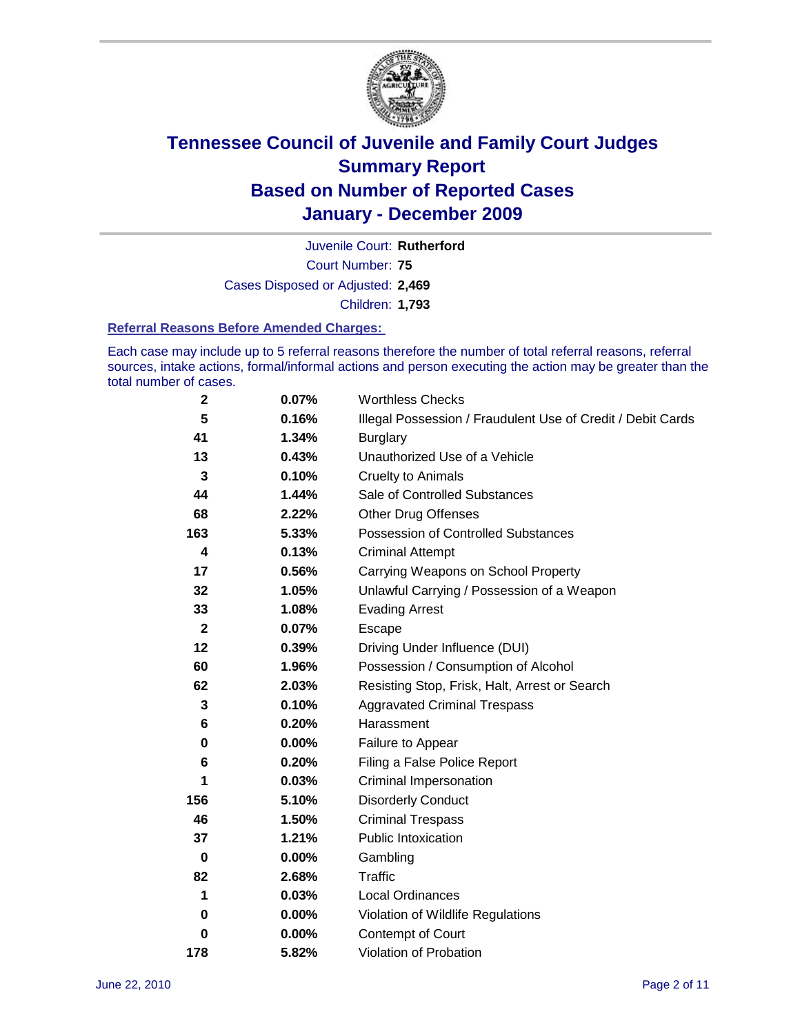

Court Number: **75** Juvenile Court: **Rutherford** Cases Disposed or Adjusted: **2,469** Children: **1,793**

#### **Referral Reasons Before Amended Charges:**

Each case may include up to 5 referral reasons therefore the number of total referral reasons, referral sources, intake actions, formal/informal actions and person executing the action may be greater than the total number of cases.

| $\mathbf 2$  | 0.07%    | <b>Worthless Checks</b>                                     |  |  |
|--------------|----------|-------------------------------------------------------------|--|--|
| 5            | 0.16%    | Illegal Possession / Fraudulent Use of Credit / Debit Cards |  |  |
| 41           | 1.34%    | <b>Burglary</b>                                             |  |  |
| 13           | 0.43%    | Unauthorized Use of a Vehicle                               |  |  |
| 3            | 0.10%    | <b>Cruelty to Animals</b>                                   |  |  |
| 44           | 1.44%    | Sale of Controlled Substances                               |  |  |
| 68           | 2.22%    | <b>Other Drug Offenses</b>                                  |  |  |
| 163          | 5.33%    | Possession of Controlled Substances                         |  |  |
| 4            | 0.13%    | <b>Criminal Attempt</b>                                     |  |  |
| 17           | 0.56%    | Carrying Weapons on School Property                         |  |  |
| 32           | 1.05%    | Unlawful Carrying / Possession of a Weapon                  |  |  |
| 33           | 1.08%    | <b>Evading Arrest</b>                                       |  |  |
| $\mathbf{2}$ | 0.07%    | Escape                                                      |  |  |
| 12           | 0.39%    | Driving Under Influence (DUI)                               |  |  |
| 60           | 1.96%    | Possession / Consumption of Alcohol                         |  |  |
| 62           | 2.03%    | Resisting Stop, Frisk, Halt, Arrest or Search               |  |  |
| 3            | 0.10%    | <b>Aggravated Criminal Trespass</b>                         |  |  |
| 6            | 0.20%    | Harassment                                                  |  |  |
| 0            | 0.00%    | Failure to Appear                                           |  |  |
| 6            | 0.20%    | Filing a False Police Report                                |  |  |
| 1            | 0.03%    | Criminal Impersonation                                      |  |  |
| 156          | 5.10%    | <b>Disorderly Conduct</b>                                   |  |  |
| 46           | 1.50%    | <b>Criminal Trespass</b>                                    |  |  |
| 37           | 1.21%    | <b>Public Intoxication</b>                                  |  |  |
| $\mathbf 0$  | $0.00\%$ | Gambling                                                    |  |  |
| 82           | 2.68%    | <b>Traffic</b>                                              |  |  |
| 1            | 0.03%    | <b>Local Ordinances</b>                                     |  |  |
| 0            | 0.00%    | Violation of Wildlife Regulations                           |  |  |
| 0            | $0.00\%$ | Contempt of Court                                           |  |  |
| 178          | 5.82%    | Violation of Probation                                      |  |  |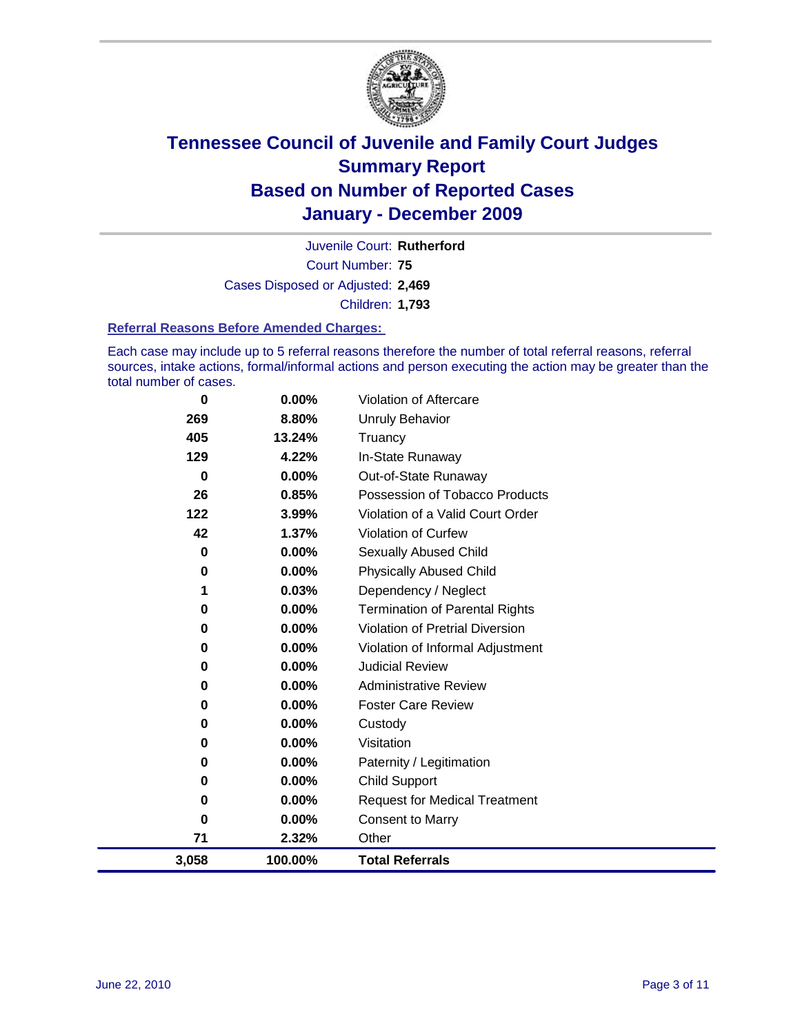

Court Number: **75** Juvenile Court: **Rutherford** Cases Disposed or Adjusted: **2,469** Children: **1,793**

#### **Referral Reasons Before Amended Charges:**

Each case may include up to 5 referral reasons therefore the number of total referral reasons, referral sources, intake actions, formal/informal actions and person executing the action may be greater than the total number of cases.

| 0     | 0.00%    | Violation of Aftercare                 |
|-------|----------|----------------------------------------|
| 269   | 8.80%    | <b>Unruly Behavior</b>                 |
| 405   | 13.24%   | Truancy                                |
| 129   | 4.22%    | In-State Runaway                       |
| 0     | $0.00\%$ | Out-of-State Runaway                   |
| 26    | 0.85%    | Possession of Tobacco Products         |
| 122   | 3.99%    | Violation of a Valid Court Order       |
| 42    | 1.37%    | <b>Violation of Curfew</b>             |
| 0     | 0.00%    | <b>Sexually Abused Child</b>           |
| 0     | $0.00\%$ | <b>Physically Abused Child</b>         |
| 1     | 0.03%    | Dependency / Neglect                   |
| 0     | $0.00\%$ | <b>Termination of Parental Rights</b>  |
| 0     | $0.00\%$ | <b>Violation of Pretrial Diversion</b> |
| 0     | $0.00\%$ | Violation of Informal Adjustment       |
| 0     | 0.00%    | <b>Judicial Review</b>                 |
| 0     | $0.00\%$ | <b>Administrative Review</b>           |
| 0     | 0.00%    | <b>Foster Care Review</b>              |
| 0     | $0.00\%$ | Custody                                |
| 0     | 0.00%    | Visitation                             |
| 0     | $0.00\%$ | Paternity / Legitimation               |
| 0     | 0.00%    | <b>Child Support</b>                   |
| 0     | $0.00\%$ | <b>Request for Medical Treatment</b>   |
| 0     | 0.00%    | <b>Consent to Marry</b>                |
| 71    | 2.32%    | Other                                  |
| 3,058 | 100.00%  | <b>Total Referrals</b>                 |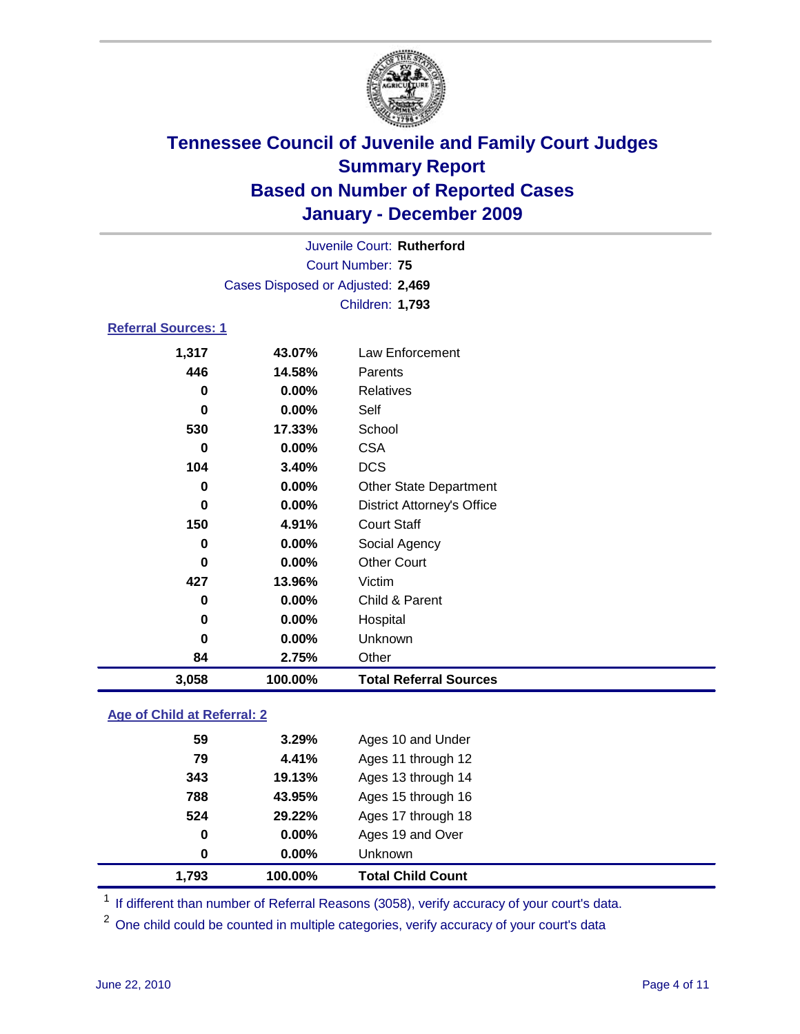

| Juvenile Court: Rutherford |                                   |                                   |  |  |
|----------------------------|-----------------------------------|-----------------------------------|--|--|
| Court Number: 75           |                                   |                                   |  |  |
|                            | Cases Disposed or Adjusted: 2,469 |                                   |  |  |
|                            | Children: 1,793                   |                                   |  |  |
| <b>Referral Sources: 1</b> |                                   |                                   |  |  |
| 1,317                      | 43.07%                            | Law Enforcement                   |  |  |
| 446                        | 14.58%                            | Parents                           |  |  |
| 0                          | $0.00\%$                          | <b>Relatives</b>                  |  |  |
| $\bf{0}$                   | $0.00\%$                          | Self                              |  |  |
| 530                        | 17.33%                            | School                            |  |  |
| 0                          | $0.00\%$                          | <b>CSA</b>                        |  |  |
| 104                        | 3.40%                             | <b>DCS</b>                        |  |  |
| $\bf{0}$                   | 0.00%                             | <b>Other State Department</b>     |  |  |
| $\bf{0}$                   | 0.00%                             | <b>District Attorney's Office</b> |  |  |
| 150                        | 4.91%                             | <b>Court Staff</b>                |  |  |
| $\bf{0}$                   | $0.00\%$                          | Social Agency                     |  |  |
| $\bf{0}$                   | $0.00\%$                          | <b>Other Court</b>                |  |  |
| 427                        | 13.96%                            | Victim                            |  |  |
| 0                          | 0.00%                             | Child & Parent                    |  |  |
| 0                          | 0.00%                             | Hospital                          |  |  |
| $\bf{0}$                   | $0.00\%$                          | Unknown                           |  |  |
| 84                         | 2.75%                             | Other                             |  |  |
| 3,058                      | 100.00%                           | <b>Total Referral Sources</b>     |  |  |

### **Age of Child at Referral: 2**

| 0<br>0 | 0.00%<br>0.00% | Ages 19 and Over<br><b>Unknown</b> |  |
|--------|----------------|------------------------------------|--|
|        |                |                                    |  |
|        |                |                                    |  |
|        |                | Ages 17 through 18                 |  |
| 788    | 43.95%         | Ages 15 through 16                 |  |
| 343    | 19.13%         | Ages 13 through 14                 |  |
| 79     | 4.41%          | Ages 11 through 12                 |  |
| 59     | 3.29%          | Ages 10 and Under                  |  |
|        |                | 524<br>29.22%                      |  |

<sup>1</sup> If different than number of Referral Reasons (3058), verify accuracy of your court's data.

<sup>2</sup> One child could be counted in multiple categories, verify accuracy of your court's data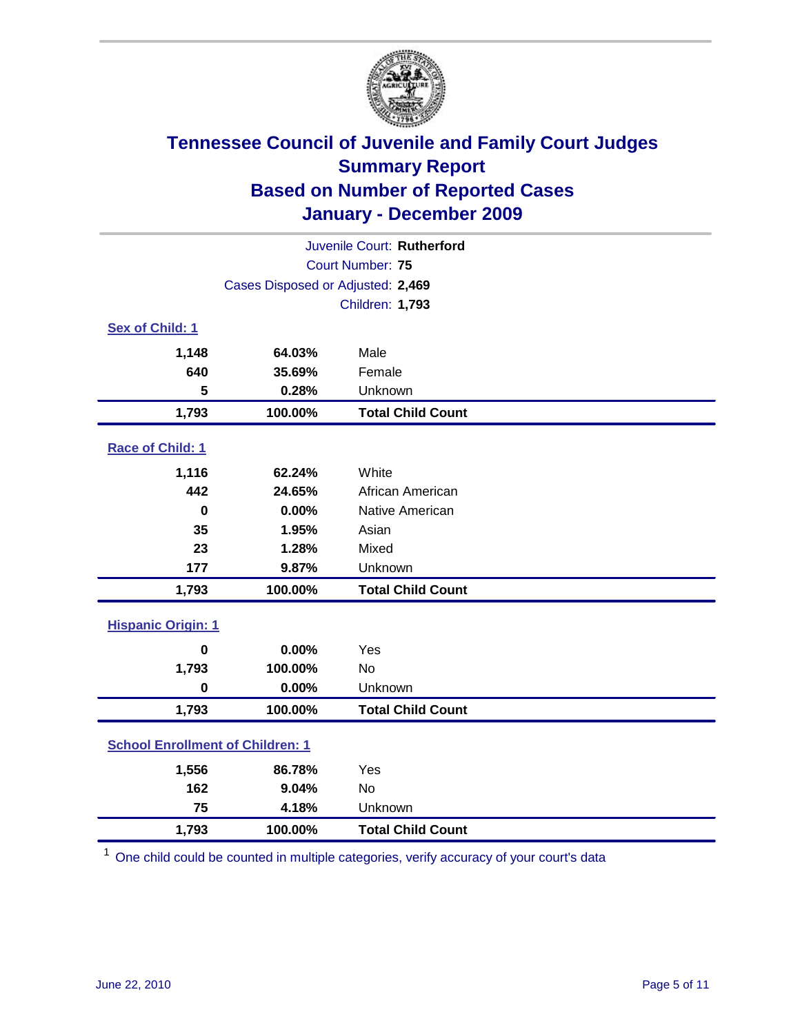

| Juvenile Court: Rutherford              |                                   |                          |  |  |  |
|-----------------------------------------|-----------------------------------|--------------------------|--|--|--|
|                                         | Court Number: 75                  |                          |  |  |  |
|                                         | Cases Disposed or Adjusted: 2,469 |                          |  |  |  |
|                                         |                                   | <b>Children: 1,793</b>   |  |  |  |
| Sex of Child: 1                         |                                   |                          |  |  |  |
| 1,148                                   | 64.03%                            | Male                     |  |  |  |
| 640                                     | 35.69%                            | Female                   |  |  |  |
| 5                                       | 0.28%                             | Unknown                  |  |  |  |
| 1,793                                   | 100.00%                           | <b>Total Child Count</b> |  |  |  |
| Race of Child: 1                        |                                   |                          |  |  |  |
| 1,116                                   | 62.24%                            | White                    |  |  |  |
| 442                                     | 24.65%                            | African American         |  |  |  |
| $\mathbf 0$                             | 0.00%                             | Native American          |  |  |  |
| 35                                      | 1.95%                             | Asian                    |  |  |  |
| 23                                      | 1.28%                             | Mixed                    |  |  |  |
| 177                                     | 9.87%                             | Unknown                  |  |  |  |
| 1,793                                   | 100.00%                           | <b>Total Child Count</b> |  |  |  |
| <b>Hispanic Origin: 1</b>               |                                   |                          |  |  |  |
| $\mathbf 0$                             | 0.00%                             | Yes                      |  |  |  |
| 1,793                                   | 100.00%                           | No                       |  |  |  |
| $\mathbf 0$                             | 0.00%                             | Unknown                  |  |  |  |
| 1,793                                   | 100.00%                           | <b>Total Child Count</b> |  |  |  |
| <b>School Enrollment of Children: 1</b> |                                   |                          |  |  |  |
| 1,556                                   | 86.78%                            | Yes                      |  |  |  |
| 162                                     | 9.04%                             | <b>No</b>                |  |  |  |
| 75                                      | 4.18%                             | Unknown                  |  |  |  |
| 1,793                                   | 100.00%                           | <b>Total Child Count</b> |  |  |  |

<sup>1</sup> One child could be counted in multiple categories, verify accuracy of your court's data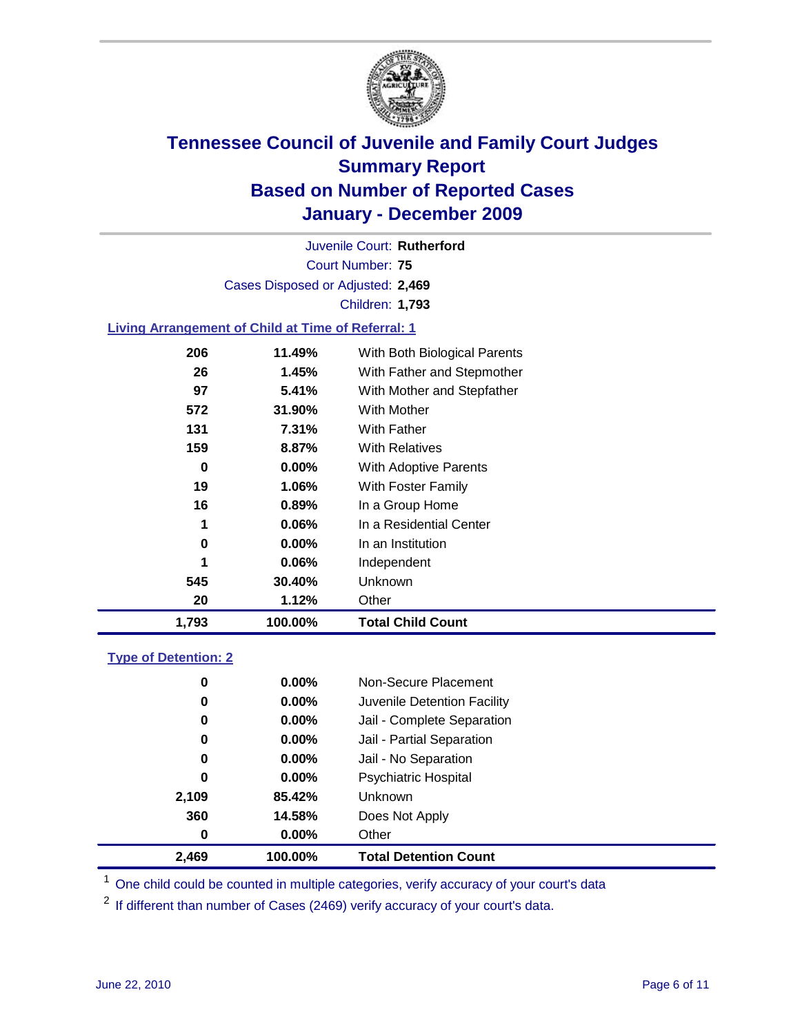

Court Number: **75** Juvenile Court: **Rutherford** Cases Disposed or Adjusted: **2,469** Children: **1,793**

### **Living Arrangement of Child at Time of Referral: 1**

| 1,793 | 100.00%  | <b>Total Child Count</b>     |
|-------|----------|------------------------------|
| 20    | 1.12%    | Other                        |
| 545   | 30.40%   | Unknown                      |
| 1     | 0.06%    | Independent                  |
| 0     | 0.00%    | In an Institution            |
| 1     | $0.06\%$ | In a Residential Center      |
| 16    | 0.89%    | In a Group Home              |
| 19    | 1.06%    | With Foster Family           |
| 0     | $0.00\%$ | <b>With Adoptive Parents</b> |
| 159   | 8.87%    | <b>With Relatives</b>        |
| 131   | 7.31%    | With Father                  |
| 572   | 31.90%   | With Mother                  |
| 97    | 5.41%    | With Mother and Stepfather   |
| 26    | 1.45%    | With Father and Stepmother   |
| 206   | 11.49%   | With Both Biological Parents |

#### **Type of Detention: 2**

| 2,469 | 100.00%  | <b>Total Detention Count</b> |  |
|-------|----------|------------------------------|--|
| 0     | 0.00%    | Other                        |  |
| 360   | 14.58%   | Does Not Apply               |  |
| 2,109 | 85.42%   | <b>Unknown</b>               |  |
| 0     | $0.00\%$ | Psychiatric Hospital         |  |
| 0     | 0.00%    | Jail - No Separation         |  |
| 0     | $0.00\%$ | Jail - Partial Separation    |  |
| 0     | 0.00%    | Jail - Complete Separation   |  |
| 0     | 0.00%    | Juvenile Detention Facility  |  |
| 0     | $0.00\%$ | Non-Secure Placement         |  |
|       |          |                              |  |

<sup>1</sup> One child could be counted in multiple categories, verify accuracy of your court's data

<sup>2</sup> If different than number of Cases (2469) verify accuracy of your court's data.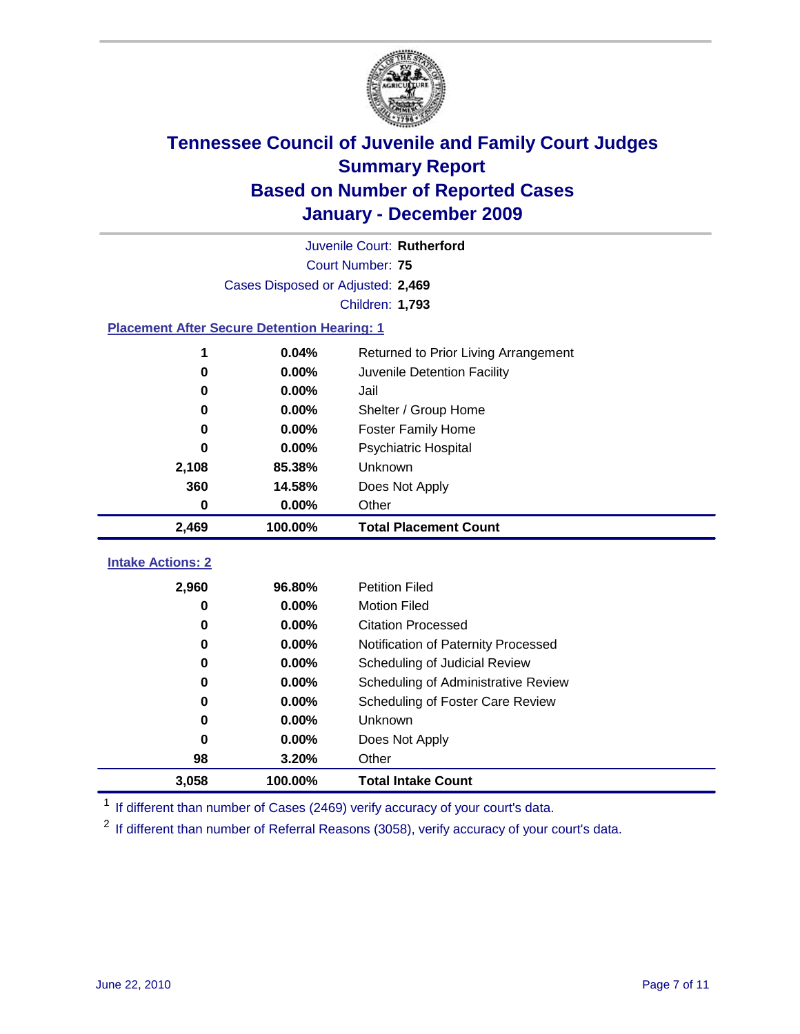

|                          | Juvenile Court: Rutherford                         |                                      |  |  |  |
|--------------------------|----------------------------------------------------|--------------------------------------|--|--|--|
|                          | <b>Court Number: 75</b>                            |                                      |  |  |  |
|                          | Cases Disposed or Adjusted: 2,469                  |                                      |  |  |  |
|                          |                                                    | Children: 1,793                      |  |  |  |
|                          | <b>Placement After Secure Detention Hearing: 1</b> |                                      |  |  |  |
|                          | 0.04%                                              | Returned to Prior Living Arrangement |  |  |  |
| $\bf{0}$                 | 0.00%                                              | Juvenile Detention Facility          |  |  |  |
| 0                        | 0.00%                                              | Jail                                 |  |  |  |
| 0                        | 0.00%                                              | Shelter / Group Home                 |  |  |  |
| 0                        | 0.00%                                              | <b>Foster Family Home</b>            |  |  |  |
| 0                        | 0.00%                                              | Psychiatric Hospital                 |  |  |  |
| 2,108                    | 85.38%                                             | Unknown                              |  |  |  |
| 360                      | 14.58%                                             | Does Not Apply                       |  |  |  |
| $\bf{0}$                 | 0.00%                                              | Other                                |  |  |  |
| 2,469                    | 100.00%                                            | <b>Total Placement Count</b>         |  |  |  |
| <b>Intake Actions: 2</b> |                                                    |                                      |  |  |  |
|                          |                                                    |                                      |  |  |  |
| 2,960                    | 96.80%                                             | <b>Petition Filed</b>                |  |  |  |
| 0                        | 0.00%                                              | <b>Motion Filed</b>                  |  |  |  |
| 0                        | 0.00%                                              | <b>Citation Processed</b>            |  |  |  |
| 0                        | 0.00%                                              | Notification of Paternity Processed  |  |  |  |
| $\bf{0}$                 | 0.00%                                              | Scheduling of Judicial Review        |  |  |  |
| 0                        | 0.00%                                              | Scheduling of Administrative Review  |  |  |  |
| 0                        | 0.00%                                              | Scheduling of Foster Care Review     |  |  |  |
| 0                        | 0.00%                                              | <b>Unknown</b>                       |  |  |  |
| $\bf{0}$                 | 0.00%                                              | Does Not Apply                       |  |  |  |
| 98                       | 3.20%                                              | Other                                |  |  |  |
| 3,058                    | 100.00%                                            | <b>Total Intake Count</b>            |  |  |  |

<sup>1</sup> If different than number of Cases (2469) verify accuracy of your court's data.

<sup>2</sup> If different than number of Referral Reasons (3058), verify accuracy of your court's data.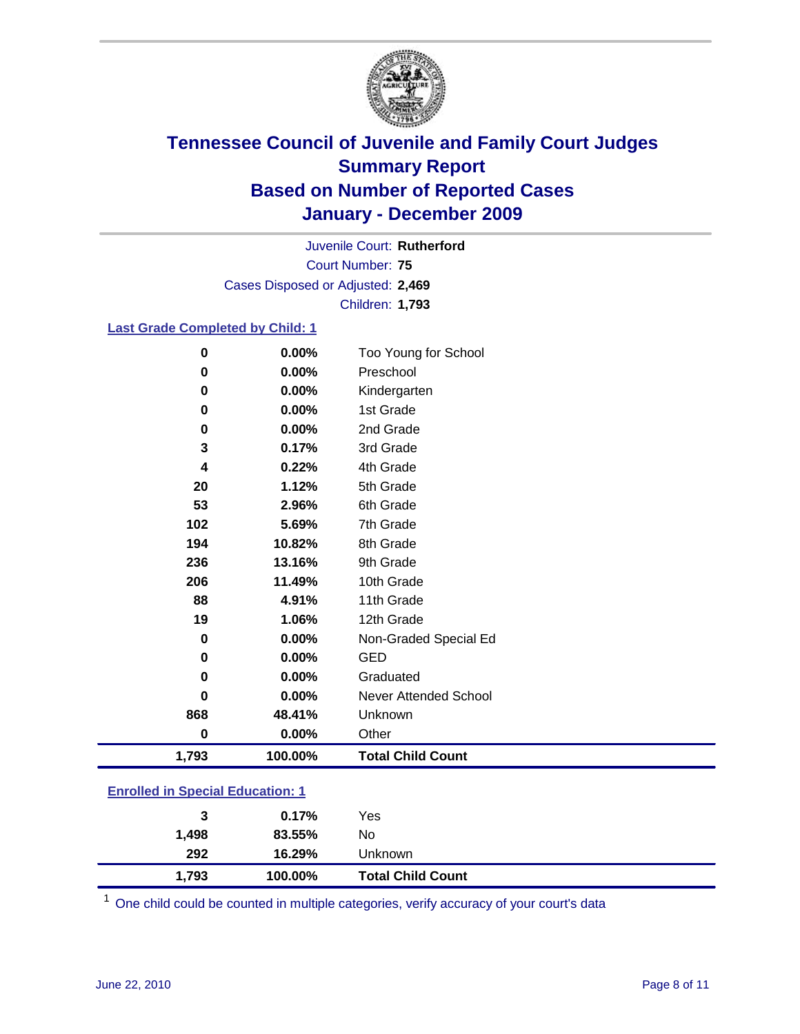

Court Number: **75** Juvenile Court: **Rutherford** Cases Disposed or Adjusted: **2,469** Children: **1,793**

#### **Last Grade Completed by Child: 1**

| 0                                       | 0.00%    | Too Young for School         |  |
|-----------------------------------------|----------|------------------------------|--|
| 0                                       | 0.00%    | Preschool                    |  |
| 0                                       | 0.00%    | Kindergarten                 |  |
| 0                                       | 0.00%    | 1st Grade                    |  |
| 0                                       | 0.00%    | 2nd Grade                    |  |
| 3                                       | 0.17%    | 3rd Grade                    |  |
| 4                                       | 0.22%    | 4th Grade                    |  |
| 20                                      | 1.12%    | 5th Grade                    |  |
| 53                                      | 2.96%    | 6th Grade                    |  |
| 102                                     | 5.69%    | 7th Grade                    |  |
| 194                                     | 10.82%   | 8th Grade                    |  |
| 236                                     | 13.16%   | 9th Grade                    |  |
| 206                                     | 11.49%   | 10th Grade                   |  |
| 88                                      | 4.91%    | 11th Grade                   |  |
| 19                                      | 1.06%    | 12th Grade                   |  |
| 0                                       | 0.00%    | Non-Graded Special Ed        |  |
| 0                                       | $0.00\%$ | <b>GED</b>                   |  |
| 0                                       | $0.00\%$ | Graduated                    |  |
| 0                                       | 0.00%    | <b>Never Attended School</b> |  |
| 868                                     | 48.41%   | Unknown                      |  |
| 0                                       | $0.00\%$ | Other                        |  |
| 1,793                                   | 100.00%  | <b>Total Child Count</b>     |  |
| <b>Enrolled in Special Education: 1</b> |          |                              |  |

| 1,793          | 100.00%  | <b>Total Child Count</b> |
|----------------|----------|--------------------------|
| 292            | 16.29%   | <b>Unknown</b>           |
| 1,498          | 83.55%   | No                       |
| 3              | $0.17\%$ | Yes                      |
| -------------- |          |                          |

One child could be counted in multiple categories, verify accuracy of your court's data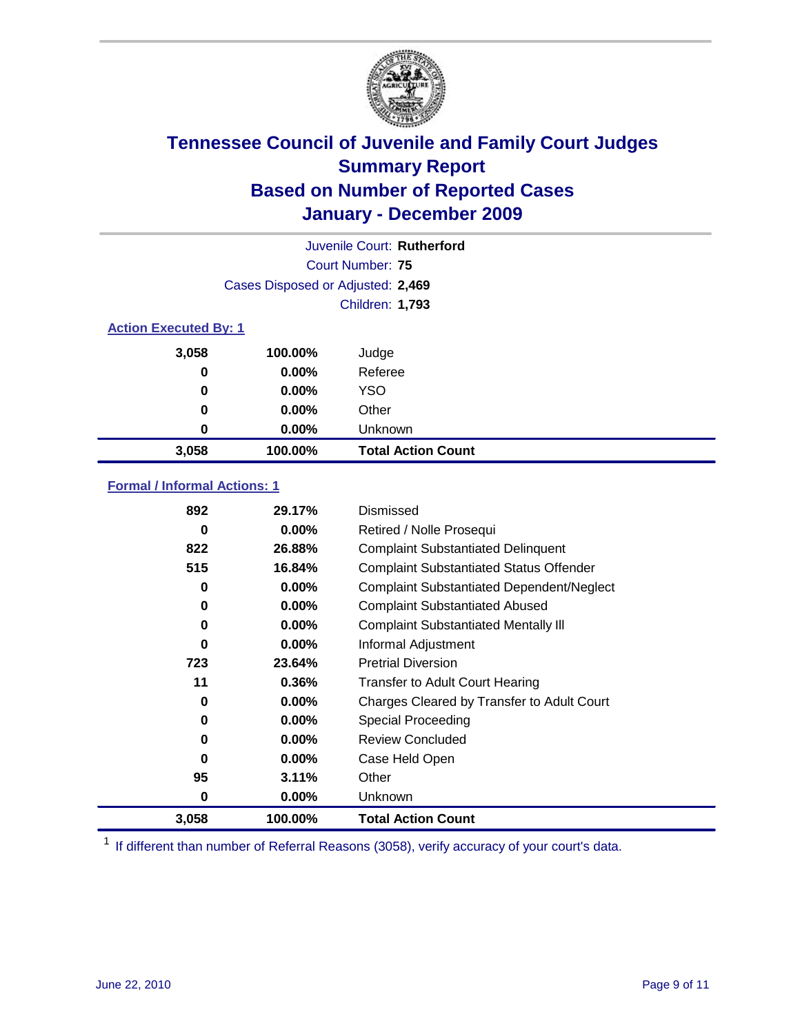

|          | Juvenile Court: Rutherford        |                           |  |  |  |
|----------|-----------------------------------|---------------------------|--|--|--|
|          | Court Number: 75                  |                           |  |  |  |
|          | Cases Disposed or Adjusted: 2,469 |                           |  |  |  |
|          | <b>Children: 1,793</b>            |                           |  |  |  |
|          | <b>Action Executed By: 1</b>      |                           |  |  |  |
| 3,058    | 100.00%                           | Judge                     |  |  |  |
| 0        | 0.00%                             | Referee                   |  |  |  |
| $\bf{0}$ | 0.00%                             | <b>YSO</b>                |  |  |  |
| 0        | $0.00\%$                          | Other                     |  |  |  |
| 0        | 0.00%                             | Unknown                   |  |  |  |
| 3,058    | 100.00%                           | <b>Total Action Count</b> |  |  |  |

### **Formal / Informal Actions: 1**

| 892   | 29.17%   | Dismissed                                        |
|-------|----------|--------------------------------------------------|
| 0     | $0.00\%$ | Retired / Nolle Prosequi                         |
| 822   | 26.88%   | <b>Complaint Substantiated Delinquent</b>        |
| 515   | 16.84%   | <b>Complaint Substantiated Status Offender</b>   |
| 0     | $0.00\%$ | <b>Complaint Substantiated Dependent/Neglect</b> |
| 0     | 0.00%    | <b>Complaint Substantiated Abused</b>            |
| 0     | $0.00\%$ | <b>Complaint Substantiated Mentally III</b>      |
| 0     | $0.00\%$ | Informal Adjustment                              |
| 723   | 23.64%   | <b>Pretrial Diversion</b>                        |
| 11    | 0.36%    | <b>Transfer to Adult Court Hearing</b>           |
| 0     | $0.00\%$ | Charges Cleared by Transfer to Adult Court       |
| 0     | $0.00\%$ | <b>Special Proceeding</b>                        |
| 0     | $0.00\%$ | <b>Review Concluded</b>                          |
| 0     | $0.00\%$ | Case Held Open                                   |
| 95    | 3.11%    | Other                                            |
| 0     | $0.00\%$ | Unknown                                          |
| 3,058 | 100.00%  | <b>Total Action Count</b>                        |

<sup>1</sup> If different than number of Referral Reasons (3058), verify accuracy of your court's data.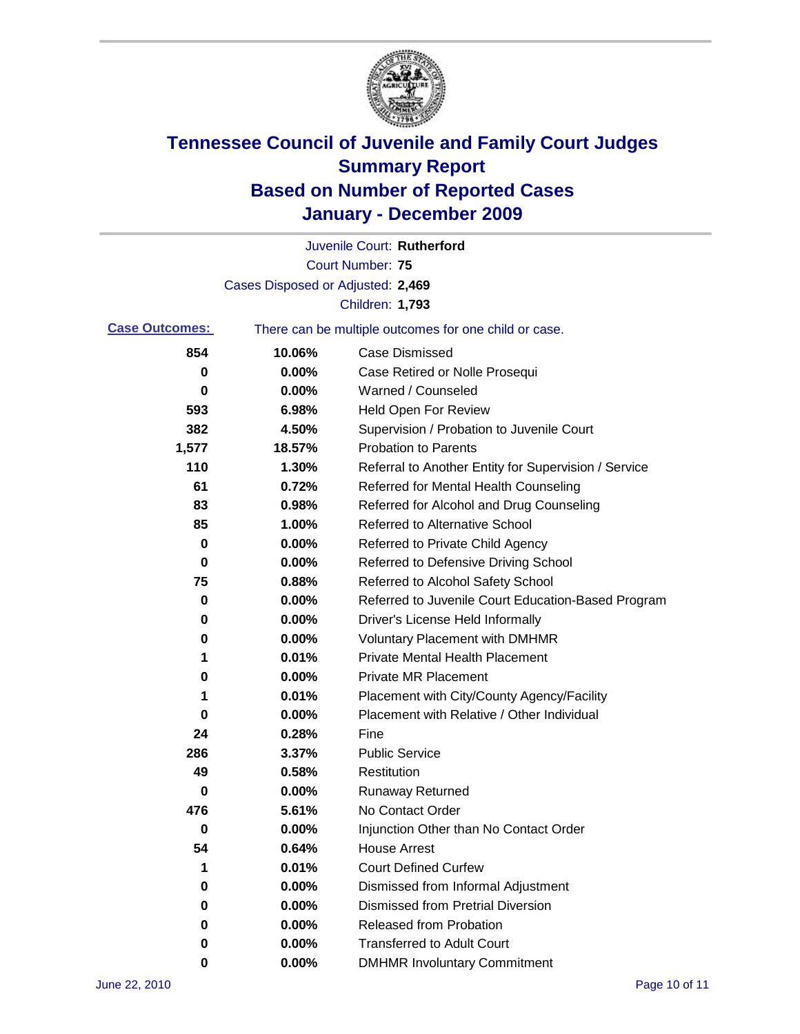

|                       |                                                       | Juvenile Court: Rutherford                           |  |
|-----------------------|-------------------------------------------------------|------------------------------------------------------|--|
|                       |                                                       | <b>Court Number: 75</b>                              |  |
|                       | Cases Disposed or Adjusted: 2,469                     |                                                      |  |
|                       |                                                       | Children: 1,793                                      |  |
| <b>Case Outcomes:</b> | There can be multiple outcomes for one child or case. |                                                      |  |
| 854                   | 10.06%                                                | <b>Case Dismissed</b>                                |  |
| 0                     | 0.00%                                                 | Case Retired or Nolle Prosequi                       |  |
| 0                     | 0.00%                                                 | Warned / Counseled                                   |  |
| 593                   | 6.98%                                                 | <b>Held Open For Review</b>                          |  |
| 382                   | 4.50%                                                 | Supervision / Probation to Juvenile Court            |  |
| 1,577                 | 18.57%                                                | <b>Probation to Parents</b>                          |  |
| 110                   | 1.30%                                                 | Referral to Another Entity for Supervision / Service |  |
| 61                    | 0.72%                                                 | Referred for Mental Health Counseling                |  |
| 83                    | 0.98%                                                 | Referred for Alcohol and Drug Counseling             |  |
| 85                    | 1.00%                                                 | <b>Referred to Alternative School</b>                |  |
| 0                     | 0.00%                                                 | Referred to Private Child Agency                     |  |
| 0                     | 0.00%                                                 | Referred to Defensive Driving School                 |  |
| 75                    | 0.88%                                                 | Referred to Alcohol Safety School                    |  |
| 0                     | 0.00%                                                 | Referred to Juvenile Court Education-Based Program   |  |
| 0                     | 0.00%                                                 | Driver's License Held Informally                     |  |
| 0                     | 0.00%                                                 | <b>Voluntary Placement with DMHMR</b>                |  |
| 1                     | 0.01%                                                 | <b>Private Mental Health Placement</b>               |  |
| 0                     | 0.00%                                                 | <b>Private MR Placement</b>                          |  |
| 1                     | 0.01%                                                 | Placement with City/County Agency/Facility           |  |
| 0                     | 0.00%                                                 | Placement with Relative / Other Individual           |  |
| 24                    | 0.28%                                                 | Fine                                                 |  |
| 286                   | 3.37%                                                 | <b>Public Service</b>                                |  |
| 49                    | 0.58%                                                 | Restitution                                          |  |
| 0                     | 0.00%                                                 | <b>Runaway Returned</b>                              |  |
| 476                   | 5.61%                                                 | No Contact Order                                     |  |
| 0                     | 0.00%                                                 | Injunction Other than No Contact Order               |  |
| 54                    | 0.64%                                                 | <b>House Arrest</b>                                  |  |
| 1                     | 0.01%                                                 | <b>Court Defined Curfew</b>                          |  |
| 0                     | 0.00%                                                 | Dismissed from Informal Adjustment                   |  |
| 0                     | 0.00%                                                 | <b>Dismissed from Pretrial Diversion</b>             |  |
| 0                     | 0.00%                                                 | Released from Probation                              |  |
| 0                     | 0.00%                                                 | <b>Transferred to Adult Court</b>                    |  |
| 0                     | 0.00%                                                 | <b>DMHMR Involuntary Commitment</b>                  |  |